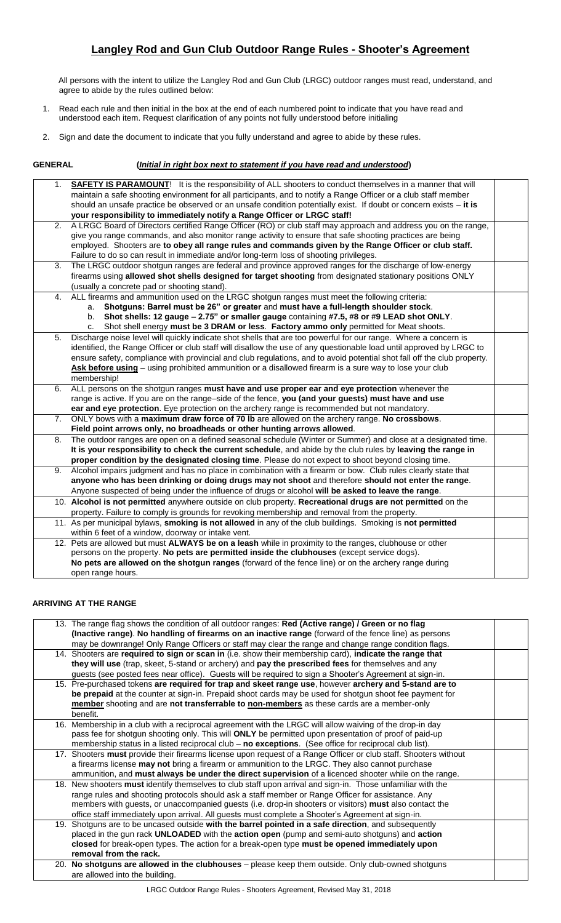# **Langley Rod and Gun Club Outdoor Range Rules - Shooter's Agreement**

All persons with the intent to utilize the Langley Rod and Gun Club (LRGC) outdoor ranges must read, understand, and agree to abide by the rules outlined below:

- 1. Read each rule and then initial in the box at the end of each numbered point to indicate that you have read and understood each item. Request clarification of any points not fully understood before initialing
- 2. Sign and date the document to indicate that you fully understand and agree to abide by these rules.

# **GENERAL (***Initial in right box next to statement if you have read and understood***)**

| 1. | SAFETY IS PARAMOUNT! It is the responsibility of ALL shooters to conduct themselves in a manner that will               |  |
|----|-------------------------------------------------------------------------------------------------------------------------|--|
|    | maintain a safe shooting environment for all participants, and to notify a Range Officer or a club staff member         |  |
|    | should an unsafe practice be observed or an unsafe condition potentially exist. If doubt or concern exists - it is      |  |
|    | your responsibility to immediately notify a Range Officer or LRGC staff!                                                |  |
| 2. | A LRGC Board of Directors certified Range Officer (RO) or club staff may approach and address you on the range,         |  |
|    | give you range commands, and also monitor range activity to ensure that safe shooting practices are being               |  |
|    | employed. Shooters are to obey all range rules and commands given by the Range Officer or club staff.                   |  |
|    | Failure to do so can result in immediate and/or long-term loss of shooting privileges.                                  |  |
| 3. | The LRGC outdoor shotgun ranges are federal and province approved ranges for the discharge of low-energy                |  |
|    | firearms using allowed shot shells designed for target shooting from designated stationary positions ONLY               |  |
|    | (usually a concrete pad or shooting stand).                                                                             |  |
| 4. | ALL firearms and ammunition used on the LRGC shotgun ranges must meet the following criteria:                           |  |
|    | Shotguns: Barrel must be 26" or greater and must have a full-length shoulder stock.<br>a.                               |  |
|    | Shot shells: 12 gauge - 2.75" or smaller gauge containing #7.5, #8 or #9 LEAD shot ONLY.<br>b.                          |  |
|    | Shot shell energy must be 3 DRAM or less. Factory ammo only permitted for Meat shoots.<br>c.                            |  |
| 5. | Discharge noise level will quickly indicate shot shells that are too powerful for our range. Where a concern is         |  |
|    | identified, the Range Officer or club staff will disallow the use of any questionable load until approved by LRGC to    |  |
|    | ensure safety, compliance with provincial and club regulations, and to avoid potential shot fall off the club property. |  |
|    | Ask before using - using prohibited ammunition or a disallowed firearm is a sure way to lose your club                  |  |
|    | membership!                                                                                                             |  |
| 6. | ALL persons on the shotgun ranges must have and use proper ear and eye protection whenever the                          |  |
|    | range is active. If you are on the range-side of the fence, you (and your guests) must have and use                     |  |
|    | ear and eye protection. Eye protection on the archery range is recommended but not mandatory.                           |  |
| 7. | ONLY bows with a maximum draw force of 70 lb are allowed on the archery range. No crossbows.                            |  |
|    | Field point arrows only, no broadheads or other hunting arrows allowed.                                                 |  |
| 8. | The outdoor ranges are open on a defined seasonal schedule (Winter or Summer) and close at a designated time.           |  |
|    | It is your responsibility to check the current schedule, and abide by the club rules by leaving the range in            |  |
|    | proper condition by the designated closing time. Please do not expect to shoot beyond closing time.                     |  |
| 9. | Alcohol impairs judgment and has no place in combination with a firearm or bow. Club rules clearly state that           |  |
|    | anyone who has been drinking or doing drugs may not shoot and therefore should not enter the range.                     |  |
|    | Anyone suspected of being under the influence of drugs or alcohol will be asked to leave the range.                     |  |
|    | 10. Alcohol is not permitted anywhere outside on club property. Recreational drugs are not permitted on the             |  |
|    | property. Failure to comply is grounds for revoking membership and removal from the property.                           |  |
|    | 11. As per municipal bylaws, smoking is not allowed in any of the club buildings. Smoking is not permitted              |  |
|    | within 6 feet of a window, doorway or intake vent.                                                                      |  |
|    | 12. Pets are allowed but must ALWAYS be on a leash while in proximity to the ranges, clubhouse or other                 |  |
|    | persons on the property. No pets are permitted inside the clubhouses (except service dogs).                             |  |
|    | No pets are allowed on the shotgun ranges (forward of the fence line) or on the archery range during                    |  |
|    | open range hours.                                                                                                       |  |

### **ARRIVING AT THE RANGE**

| 13. The range flag shows the condition of all outdoor ranges: Red (Active range) / Green or no flag              |  |
|------------------------------------------------------------------------------------------------------------------|--|
| (Inactive range). No handling of firearms on an inactive range (forward of the fence line) as persons            |  |
| may be downrange! Only Range Officers or staff may clear the range and change range condition flags.             |  |
| 14. Shooters are required to sign or scan in (i.e. show their membership card), indicate the range that          |  |
| they will use (trap, skeet, 5-stand or archery) and pay the prescribed fees for themselves and any               |  |
| guests (see posted fees near office). Guests will be required to sign a Shooter's Agreement at sign-in.          |  |
| 15. Pre-purchased tokens are required for trap and skeet range use, however archery and 5-stand are to           |  |
| be prepaid at the counter at sign-in. Prepaid shoot cards may be used for shotgun shoot fee payment for          |  |
| member shooting and are not transferrable to non-members as these cards are a member-only                        |  |
| benefit.                                                                                                         |  |
| 16. Membership in a club with a reciprocal agreement with the LRGC will allow waiving of the drop-in day         |  |
| pass fee for shotgun shooting only. This will ONLY be permitted upon presentation of proof of paid-up            |  |
| membership status in a listed reciprocal club - no exceptions. (See office for reciprocal club list).            |  |
| 17. Shooters must provide their firearms license upon request of a Range Officer or club staff. Shooters without |  |
| a firearms license may not bring a firearm or ammunition to the LRGC. They also cannot purchase                  |  |
| ammunition, and must always be under the direct supervision of a licenced shooter while on the range.            |  |
| 18. New shooters must identify themselves to club staff upon arrival and sign-in. Those unfamiliar with the      |  |
| range rules and shooting protocols should ask a staff member or Range Officer for assistance. Any                |  |
| members with guests, or unaccompanied guests (i.e. drop-in shooters or visitors) must also contact the           |  |
| office staff immediately upon arrival. All guests must complete a Shooter's Agreement at sign-in.                |  |
| 19. Shotguns are to be uncased outside with the barrel pointed in a safe direction, and subsequently             |  |
| placed in the gun rack UNLOADED with the action open (pump and semi-auto shotguns) and action                    |  |
| closed for break-open types. The action for a break-open type must be opened immediately upon                    |  |
| removal from the rack.                                                                                           |  |
| 20. No shotguns are allowed in the clubhouses – please keep them outside. Only club-owned shotguns               |  |
| are allowed into the building.                                                                                   |  |